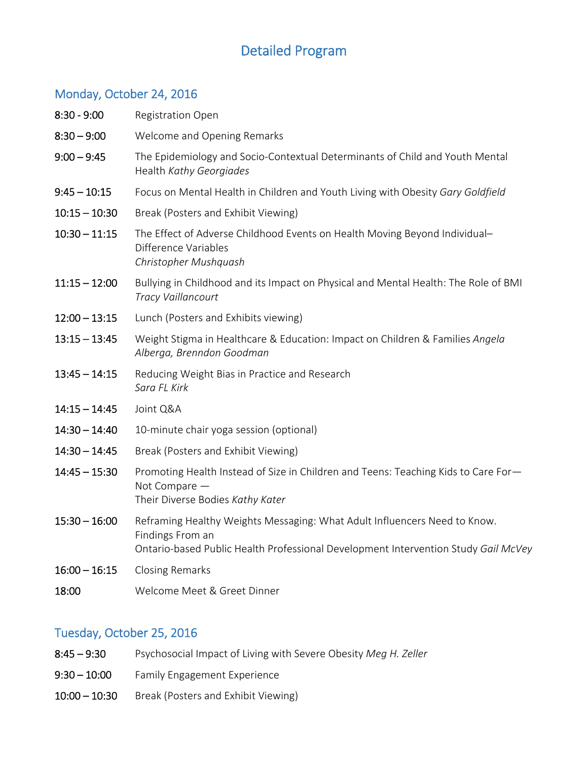# Detailed Program

## Monday, October 24, 2016

| $8:30 - 9:00$   | <b>Registration Open</b>                                                                                                                                                            |
|-----------------|-------------------------------------------------------------------------------------------------------------------------------------------------------------------------------------|
| $8:30 - 9:00$   | Welcome and Opening Remarks                                                                                                                                                         |
| $9:00 - 9:45$   | The Epidemiology and Socio-Contextual Determinants of Child and Youth Mental<br>Health Kathy Georgiades                                                                             |
| $9:45 - 10:15$  | Focus on Mental Health in Children and Youth Living with Obesity Gary Goldfield                                                                                                     |
| $10:15 - 10:30$ | Break (Posters and Exhibit Viewing)                                                                                                                                                 |
| $10:30 - 11:15$ | The Effect of Adverse Childhood Events on Health Moving Beyond Individual-<br>Difference Variables<br>Christopher Mushquash                                                         |
| $11:15 - 12:00$ | Bullying in Childhood and its Impact on Physical and Mental Health: The Role of BMI<br>Tracy Vaillancourt                                                                           |
| $12:00 - 13:15$ | Lunch (Posters and Exhibits viewing)                                                                                                                                                |
| $13:15 - 13:45$ | Weight Stigma in Healthcare & Education: Impact on Children & Families Angela<br>Alberga, Brenndon Goodman                                                                          |
| $13:45 - 14:15$ | Reducing Weight Bias in Practice and Research<br>Sara FL Kirk                                                                                                                       |
| $14:15 - 14:45$ | Joint Q&A                                                                                                                                                                           |
| $14:30 - 14:40$ | 10-minute chair yoga session (optional)                                                                                                                                             |
| $14:30 - 14:45$ | Break (Posters and Exhibit Viewing)                                                                                                                                                 |
| $14:45 - 15:30$ | Promoting Health Instead of Size in Children and Teens: Teaching Kids to Care For-<br>Not Compare -<br>Their Diverse Bodies Kathy Kater                                             |
| $15:30 - 16:00$ | Reframing Healthy Weights Messaging: What Adult Influencers Need to Know.<br>Findings From an<br>Ontario-based Public Health Professional Development Intervention Study Gail McVey |
| $16:00 - 16:15$ | <b>Closing Remarks</b>                                                                                                                                                              |
| 18:00           | Welcome Meet & Greet Dinner                                                                                                                                                         |

#### Tuesday, October 25, 2016

- 8:45 9:30 Psychosocial Impact of Living with Severe Obesity *Meg H. Zeller*
- 9:30 10:00 Family Engagement Experience
- 10:00 10:30 Break (Posters and Exhibit Viewing)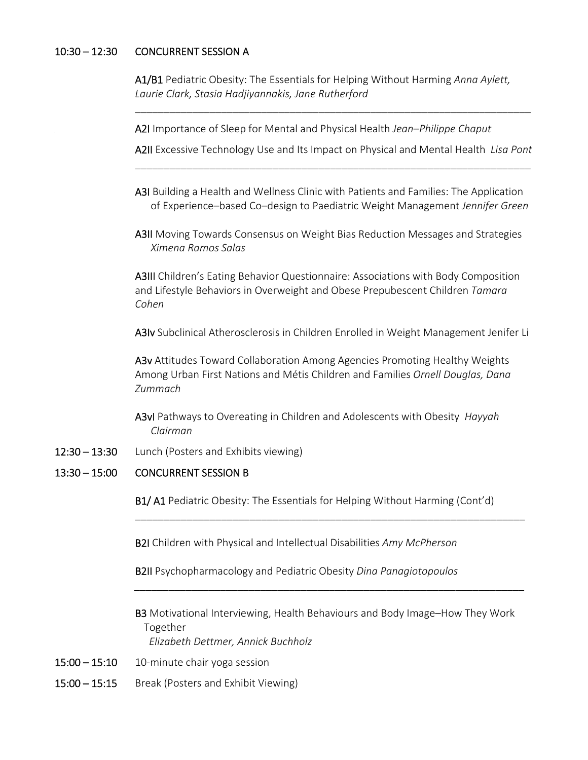#### $10:30 - 12:30$ CONCURRENT SESSION A

A1/B1 Pediatric Obesity: The Essentials for Helping Without Harming *Anna Aylett, Laurie Clark, Stasia Hadjiyannakis, Jane Rutherford* 

A2I Importance of Sleep for Mental and Physical Health *Jean–Philippe Chaput* 

 A2II Excessive Technology Use and Its Impact on Physical and Mental Health *Lisa Pont* \_\_\_\_\_\_\_\_\_\_\_\_\_\_\_\_\_\_\_\_\_\_\_\_\_\_\_\_\_\_\_\_\_\_\_\_\_\_\_\_\_\_\_\_\_\_\_\_\_\_\_\_\_\_\_\_\_\_\_\_\_\_\_\_\_\_\_\_\_

\_\_\_\_\_\_\_\_\_\_\_\_\_\_\_\_\_\_\_\_\_\_\_\_\_\_\_\_\_\_\_\_\_\_\_\_\_\_\_\_\_\_\_\_\_\_\_\_\_\_\_\_\_\_\_\_\_\_\_\_\_\_\_\_\_\_\_\_\_

- A3I Building a Health and Wellness Clinic with Patients and Families: The Application of Experience–based Co–design to Paediatric Weight Management *Jennifer Green*
- A3II Moving Towards Consensus on Weight Bias Reduction Messages and Strategies *Ximena Ramos Salas*

A3III Children's Eating Behavior Questionnaire: Associations with Body Composition and Lifestyle Behaviors in Overweight and Obese Prepubescent Children *Tamara Cohen* 

A3Iv Subclinical Atherosclerosis in Children Enrolled in Weight Management Jenifer Li

A3v Attitudes Toward Collaboration Among Agencies Promoting Healthy Weights Among Urban First Nations and Métis Children and Families *Ornell Douglas, Dana Zummach* 

A3vI Pathways to Overeating in Children and Adolescents with Obesity *Hayyah Clairman*

12:30 – 13:30 Lunch (Posters and Exhibits viewing)

#### 13:30 – 15:00 CONCURRENT SESSION B

B1/ A1 Pediatric Obesity: The Essentials for Helping Without Harming (Cont'd)

\_\_\_\_\_\_\_\_\_\_\_\_\_\_\_\_\_\_\_\_\_\_\_\_\_\_\_\_\_\_\_\_\_\_\_\_\_\_\_\_\_\_\_\_\_\_\_\_\_\_\_\_\_\_\_\_\_\_\_\_\_\_\_\_\_\_\_\_

B2I Children with Physical and Intellectual Disabilities *Amy McPherson* 

B2II Psychopharmacology and Pediatric Obesity *Dina Panagiotopoulos* 

B3 Motivational Interviewing, Health Behaviours and Body Image–How They Work Together  *Elizabeth Dettmer, Annick Buchholz*

*\_\_\_\_\_\_\_\_\_\_\_\_\_\_\_\_\_\_\_\_\_\_\_\_\_\_\_\_\_\_\_\_\_\_\_\_\_\_\_\_\_\_\_\_\_\_\_\_\_\_\_\_\_\_\_\_\_\_\_\_\_\_\_\_\_\_\_\_* 

- $15:00 15:10$  10-minute chair yoga session
- 15:00 15:15 Break (Posters and Exhibit Viewing)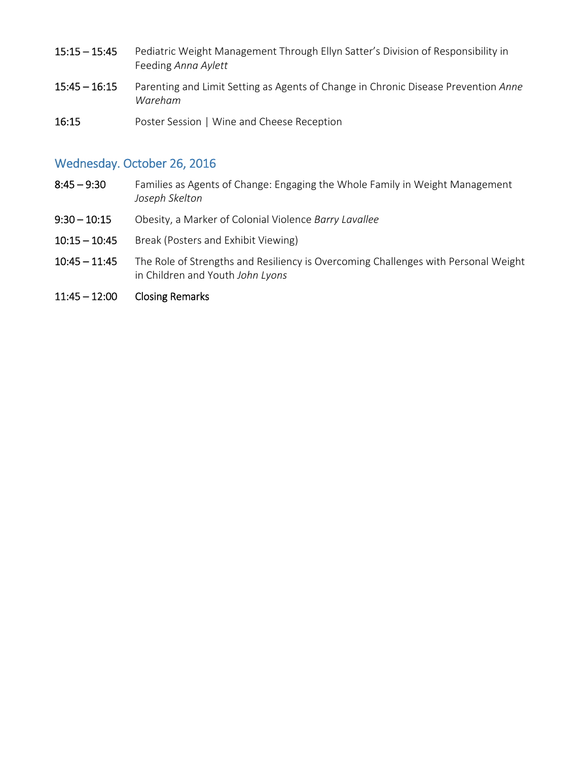- 15:15 15:45 Pediatric Weight Management Through Ellyn Satter's Division of Responsibility in Feeding *Anna Aylett*
- 15:45 16:15 Parenting and Limit Setting as Agents of Change in Chronic Disease Prevention *Anne Wareham*
- 16:15 Poster Session | Wine and Cheese Reception

#### Wednesday. October 26, 2016

- 8:45 9:30 Families as Agents of Change: Engaging the Whole Family in Weight Management *Joseph Skelton*
- 9:30 10:15 Obesity, a Marker of Colonial Violence *Barry Lavallee*
- 10:15 10:45 Break (Posters and Exhibit Viewing)
- 10:45 11:45 The Role of Strengths and Resiliency is Overcoming Challenges with Personal Weight in Children and Youth *John Lyons*
- 11:45 12:00Closing Remarks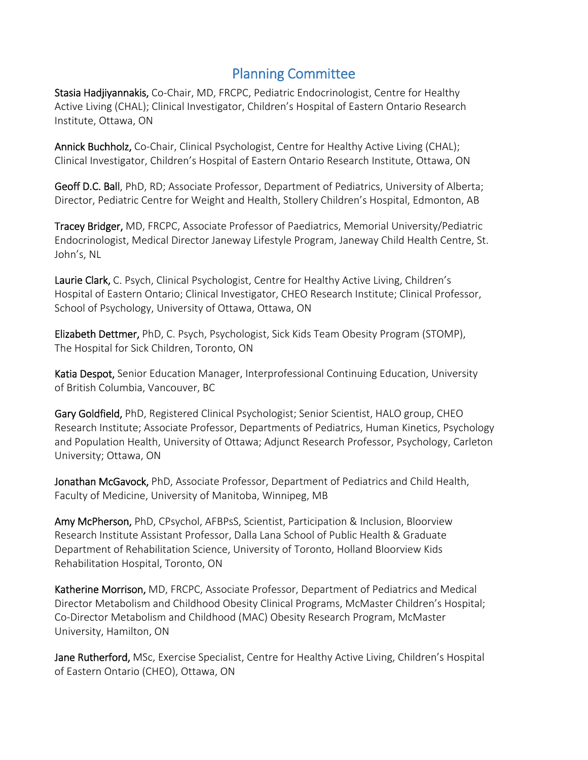# Planning Committee

Stasia Hadjiyannakis, Co-Chair, MD, FRCPC, Pediatric Endocrinologist, Centre for Healthy Active Living (CHAL); Clinical Investigator, Children's Hospital of Eastern Ontario Research Institute, Ottawa, ON

Annick Buchholz, Co-Chair, Clinical Psychologist, Centre for Healthy Active Living (CHAL); Clinical Investigator, Children's Hospital of Eastern Ontario Research Institute, Ottawa, ON

Geoff D.C. Ball, PhD, RD; Associate Professor, Department of Pediatrics, University of Alberta; Director, Pediatric Centre for Weight and Health, Stollery Children's Hospital, Edmonton, AB

Tracey Bridger, MD, FRCPC, Associate Professor of Paediatrics, Memorial University/Pediatric Endocrinologist, Medical Director Janeway Lifestyle Program, Janeway Child Health Centre, St. John's, NL

Laurie Clark, C. Psych, Clinical Psychologist, Centre for Healthy Active Living, Children's Hospital of Eastern Ontario; Clinical Investigator, CHEO Research Institute; Clinical Professor, School of Psychology, University of Ottawa, Ottawa, ON

Elizabeth Dettmer, PhD, C. Psych, Psychologist, Sick Kids Team Obesity Program (STOMP), The Hospital for Sick Children, Toronto, ON

Katia Despot, Senior Education Manager, Interprofessional Continuing Education, University of British Columbia, Vancouver, BC

Gary Goldfield, PhD, Registered Clinical Psychologist; Senior Scientist, HALO group, CHEO Research Institute; Associate Professor, Departments of Pediatrics, Human Kinetics, Psychology and Population Health, University of Ottawa; Adjunct Research Professor, Psychology, Carleton University; Ottawa, ON

Jonathan McGavock, PhD, Associate Professor, Department of Pediatrics and Child Health, Faculty of Medicine, University of Manitoba, Winnipeg, MB

Amy McPherson, PhD, CPsychol, AFBPsS, Scientist, Participation & Inclusion, Bloorview Research Institute Assistant Professor, Dalla Lana School of Public Health & Graduate Department of Rehabilitation Science, University of Toronto, Holland Bloorview Kids Rehabilitation Hospital, Toronto, ON

Katherine Morrison, MD, FRCPC, Associate Professor, Department of Pediatrics and Medical Director Metabolism and Childhood Obesity Clinical Programs, McMaster Children's Hospital; Co-Director Metabolism and Childhood (MAC) Obesity Research Program, McMaster University, Hamilton, ON

Jane Rutherford, MSc, Exercise Specialist, Centre for Healthy Active Living, Children's Hospital of Eastern Ontario (CHEO), Ottawa, ON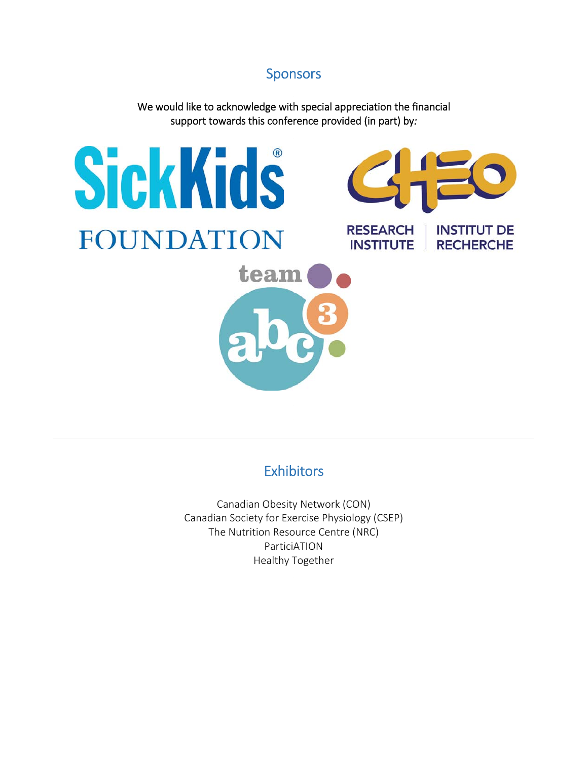# Sponsors

We would like to acknowledge with special appreciation the financial support towards this conference provided (in part) by*:* 



# **Exhibitors**

Canadian Obesity Network (CON) Canadian Society for Exercise Physiology (CSEP) The Nutrition Resource Centre (NRC) ParticiATION Healthy Together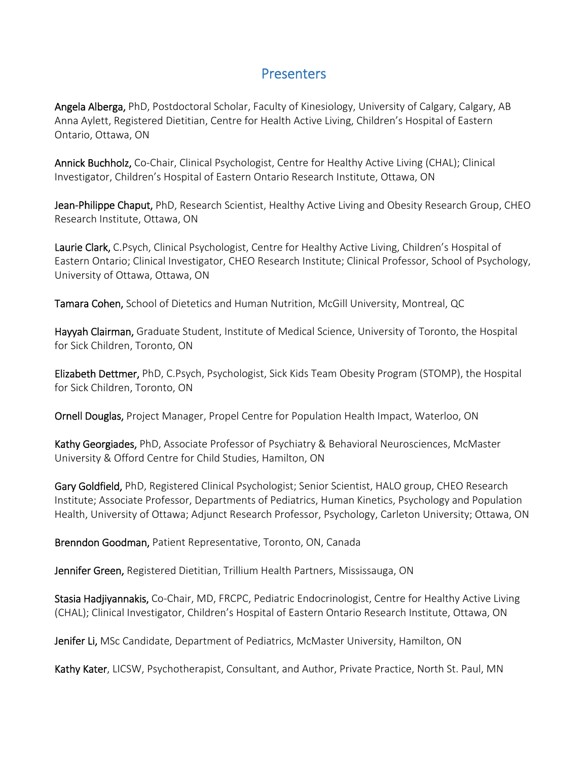### **Presenters**

Angela Alberga, PhD, Postdoctoral Scholar, Faculty of Kinesiology, University of Calgary, Calgary, AB Anna Aylett, Registered Dietitian, Centre for Health Active Living, Children's Hospital of Eastern Ontario, Ottawa, ON

Annick Buchholz, Co-Chair, Clinical Psychologist, Centre for Healthy Active Living (CHAL); Clinical Investigator, Children's Hospital of Eastern Ontario Research Institute, Ottawa, ON

Jean-Philippe Chaput, PhD, Research Scientist, Healthy Active Living and Obesity Research Group, CHEO Research Institute, Ottawa, ON

Laurie Clark, C.Psych, Clinical Psychologist, Centre for Healthy Active Living, Children's Hospital of Eastern Ontario; Clinical Investigator, CHEO Research Institute; Clinical Professor, School of Psychology, University of Ottawa, Ottawa, ON

Tamara Cohen, School of Dietetics and Human Nutrition, McGill University, Montreal, QC

Hayyah Clairman, Graduate Student, Institute of Medical Science, University of Toronto, the Hospital for Sick Children, Toronto, ON

Elizabeth Dettmer, PhD, C.Psych, Psychologist, Sick Kids Team Obesity Program (STOMP), the Hospital for Sick Children, Toronto, ON

Ornell Douglas, Project Manager, Propel Centre for Population Health Impact, Waterloo, ON

Kathy Georgiades, PhD, Associate Professor of Psychiatry & Behavioral Neurosciences, McMaster University & Offord Centre for Child Studies, Hamilton, ON

Gary Goldfield, PhD, Registered Clinical Psychologist; Senior Scientist, HALO group, CHEO Research Institute; Associate Professor, Departments of Pediatrics, Human Kinetics, Psychology and Population Health, University of Ottawa; Adjunct Research Professor, Psychology, Carleton University; Ottawa, ON

Brenndon Goodman, Patient Representative, Toronto, ON, Canada

Jennifer Green, Registered Dietitian, Trillium Health Partners, Mississauga, ON

Stasia Hadjiyannakis, Co-Chair, MD, FRCPC, Pediatric Endocrinologist, Centre for Healthy Active Living (CHAL); Clinical Investigator, Children's Hospital of Eastern Ontario Research Institute, Ottawa, ON

Jenifer Li, MSc Candidate, Department of Pediatrics, McMaster University, Hamilton, ON

Kathy Kater, LICSW, Psychotherapist, Consultant, and Author, Private Practice, North St. Paul, MN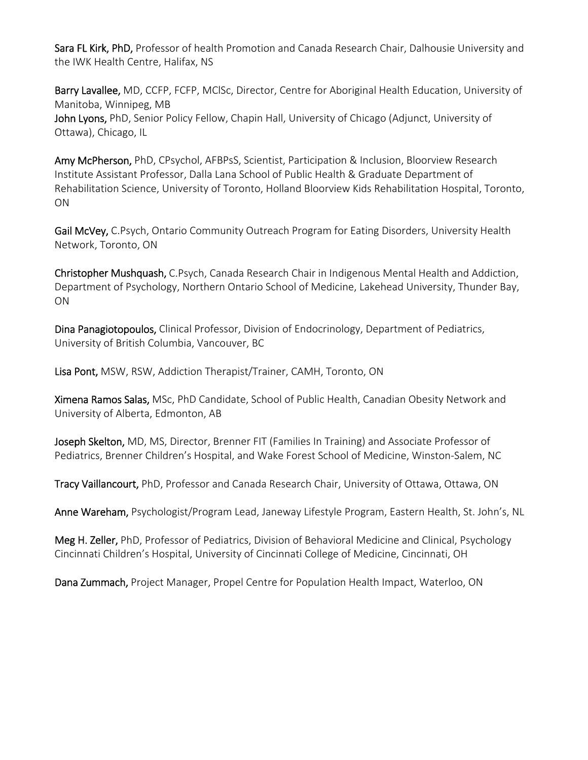Sara FL Kirk, PhD, Professor of health Promotion and Canada Research Chair, Dalhousie University and the IWK Health Centre, Halifax, NS

Barry Lavallee, MD, CCFP, FCFP, MCISc, Director, Centre for Aboriginal Health Education, University of Manitoba, Winnipeg, MB John Lyons, PhD, Senior Policy Fellow, Chapin Hall, University of Chicago (Adjunct, University of

Ottawa), Chicago, IL

Amy McPherson, PhD, CPsychol, AFBPsS, Scientist, Participation & Inclusion, Bloorview Research Institute Assistant Professor, Dalla Lana School of Public Health & Graduate Department of Rehabilitation Science, University of Toronto, Holland Bloorview Kids Rehabilitation Hospital, Toronto, ON

Gail McVey, C.Psych, Ontario Community Outreach Program for Eating Disorders, University Health Network, Toronto, ON

Christopher Mushquash, C.Psych, Canada Research Chair in Indigenous Mental Health and Addiction, Department of Psychology, Northern Ontario School of Medicine, Lakehead University, Thunder Bay, ON

Dina Panagiotopoulos, Clinical Professor, Division of Endocrinology, Department of Pediatrics, University of British Columbia, Vancouver, BC

Lisa Pont, MSW, RSW, Addiction Therapist/Trainer, CAMH, Toronto, ON

Ximena Ramos Salas, MSc, PhD Candidate, School of Public Health, Canadian Obesity Network and University of Alberta, Edmonton, AB

Joseph Skelton, MD, MS, Director, Brenner FIT (Families In Training) and Associate Professor of Pediatrics, Brenner Children's Hospital, and Wake Forest School of Medicine, Winston-Salem, NC

Tracy Vaillancourt, PhD, Professor and Canada Research Chair, University of Ottawa, Ottawa, ON

Anne Wareham, Psychologist/Program Lead, Janeway Lifestyle Program, Eastern Health, St. John's, NL

Meg H. Zeller, PhD, Professor of Pediatrics, Division of Behavioral Medicine and Clinical, Psychology Cincinnati Children's Hospital, University of Cincinnati College of Medicine, Cincinnati, OH

Dana Zummach, Project Manager, Propel Centre for Population Health Impact, Waterloo, ON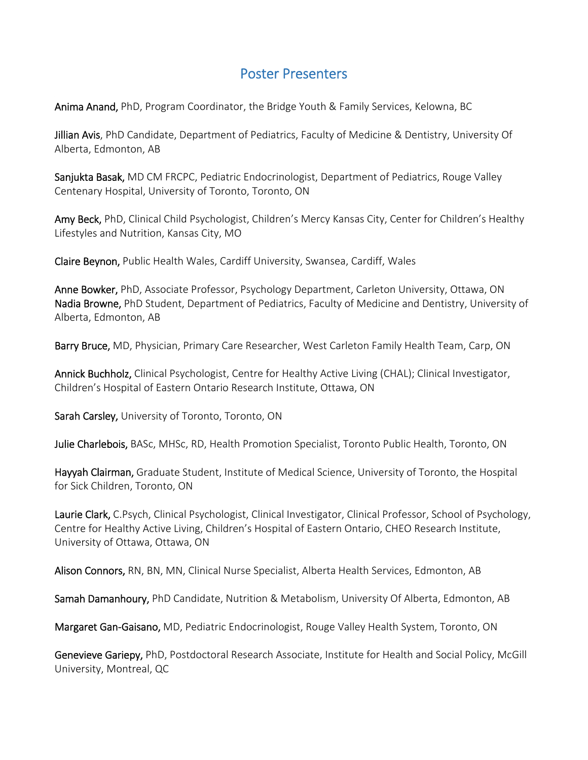## Poster Presenters

Anima Anand, PhD, Program Coordinator, the Bridge Youth & Family Services, Kelowna, BC

Jillian Avis, PhD Candidate, Department of Pediatrics, Faculty of Medicine & Dentistry, University Of Alberta, Edmonton, AB

Sanjukta Basak, MD CM FRCPC, Pediatric Endocrinologist, Department of Pediatrics, Rouge Valley Centenary Hospital, University of Toronto, Toronto, ON

Amy Beck, PhD, Clinical Child Psychologist, Children's Mercy Kansas City, Center for Children's Healthy Lifestyles and Nutrition, Kansas City, MO

Claire Beynon, Public Health Wales, Cardiff University, Swansea, Cardiff, Wales

Anne Bowker, PhD, Associate Professor, Psychology Department, Carleton University, Ottawa, ON Nadia Browne, PhD Student, Department of Pediatrics, Faculty of Medicine and Dentistry, University of Alberta, Edmonton, AB

Barry Bruce, MD, Physician, Primary Care Researcher, West Carleton Family Health Team, Carp, ON

Annick Buchholz, Clinical Psychologist, Centre for Healthy Active Living (CHAL); Clinical Investigator, Children's Hospital of Eastern Ontario Research Institute, Ottawa, ON

Sarah Carsley, University of Toronto, Toronto, ON

Julie Charlebois, BASc, MHSc, RD, Health Promotion Specialist, Toronto Public Health, Toronto, ON

Hayyah Clairman, Graduate Student, Institute of Medical Science, University of Toronto, the Hospital for Sick Children, Toronto, ON

Laurie Clark, C.Psych, Clinical Psychologist, Clinical Investigator, Clinical Professor, School of Psychology, Centre for Healthy Active Living, Children's Hospital of Eastern Ontario, CHEO Research Institute, University of Ottawa, Ottawa, ON

Alison Connors, RN, BN, MN, Clinical Nurse Specialist, Alberta Health Services, Edmonton, AB

Samah Damanhoury, PhD Candidate, Nutrition & Metabolism, University Of Alberta, Edmonton, AB

Margaret Gan-Gaisano, MD, Pediatric Endocrinologist, Rouge Valley Health System, Toronto, ON

Genevieve Gariepy, PhD, Postdoctoral Research Associate, Institute for Health and Social Policy, McGill University, Montreal, QC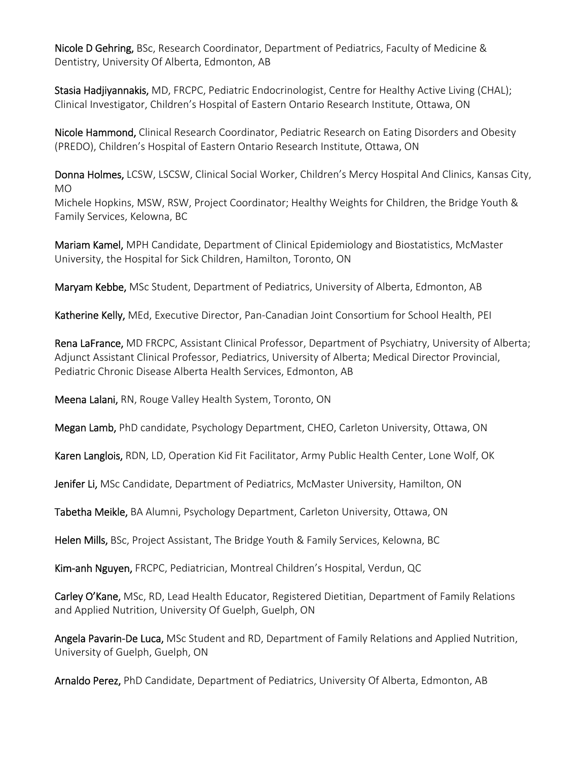Nicole D Gehring, BSc, Research Coordinator, Department of Pediatrics, Faculty of Medicine & Dentistry, University Of Alberta, Edmonton, AB

Stasia Hadjivannakis, MD, FRCPC, Pediatric Endocrinologist, Centre for Healthy Active Living (CHAL); Clinical Investigator, Children's Hospital of Eastern Ontario Research Institute, Ottawa, ON

Nicole Hammond, Clinical Research Coordinator, Pediatric Research on Eating Disorders and Obesity (PREDO), Children's Hospital of Eastern Ontario Research Institute, Ottawa, ON

Donna Holmes, LCSW, LSCSW, Clinical Social Worker, Children's Mercy Hospital And Clinics, Kansas City, MO

Michele Hopkins, MSW, RSW, Project Coordinator; Healthy Weights for Children, the Bridge Youth & Family Services, Kelowna, BC

Mariam Kamel, MPH Candidate, Department of Clinical Epidemiology and Biostatistics, McMaster University, the Hospital for Sick Children, Hamilton, Toronto, ON

Maryam Kebbe, MSc Student, Department of Pediatrics, University of Alberta, Edmonton, AB

Katherine Kelly, MEd, Executive Director, Pan-Canadian Joint Consortium for School Health, PEI

Rena LaFrance, MD FRCPC, Assistant Clinical Professor, Department of Psychiatry, University of Alberta; Adjunct Assistant Clinical Professor, Pediatrics, University of Alberta; Medical Director Provincial, Pediatric Chronic Disease Alberta Health Services, Edmonton, AB

Meena Lalani, RN, Rouge Valley Health System, Toronto, ON

Megan Lamb, PhD candidate, Psychology Department, CHEO, Carleton University, Ottawa, ON

Karen Langlois, RDN, LD, Operation Kid Fit Facilitator, Army Public Health Center, Lone Wolf, OK

Jenifer Li, MSc Candidate, Department of Pediatrics, McMaster University, Hamilton, ON

Tabetha Meikle, BA Alumni, Psychology Department, Carleton University, Ottawa, ON

Helen Mills, BSc, Project Assistant, The Bridge Youth & Family Services, Kelowna, BC

Kim-anh Nguyen, FRCPC, Pediatrician, Montreal Children's Hospital, Verdun, QC

Carley O'Kane, MSc, RD, Lead Health Educator, Registered Dietitian, Department of Family Relations and Applied Nutrition, University Of Guelph, Guelph, ON

Angela Pavarin-De Luca, MSc Student and RD, Department of Family Relations and Applied Nutrition, University of Guelph, Guelph, ON

Arnaldo Perez, PhD Candidate, Department of Pediatrics, University Of Alberta, Edmonton, AB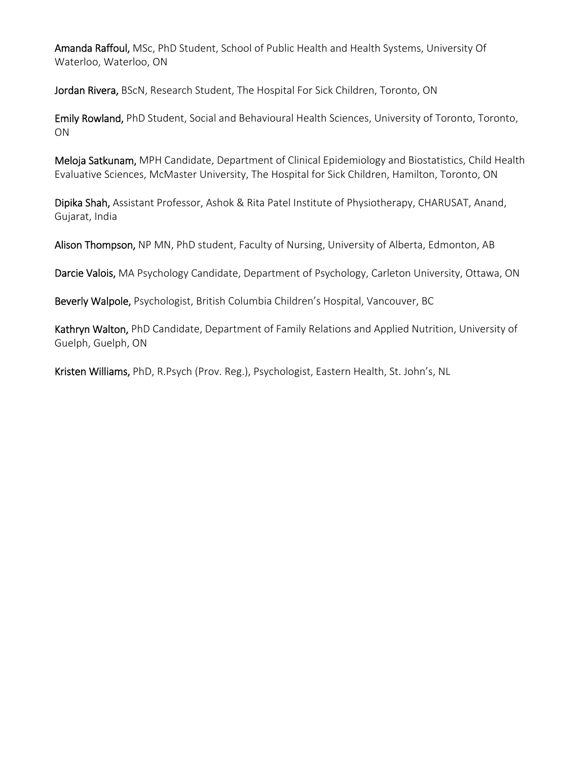Amanda Raffoul, MSc, PhD Student, School of Public Health and Health Systems, University Of Waterloo, Waterloo, ON

Jordan Rivera, BScN, Research Student, The Hospital For Sick Children, Toronto, ON

Emily Rowland, PhD Student, Social and Behavioural Health Sciences, University of Toronto, Toronto, ON

Meloja Satkunam, MPH Candidate, Department of Clinical Epidemiology and Biostatistics, Child Health Evaluative Sciences, McMaster University, The Hospital for Sick Children, Hamilton, Toronto, ON

Dipika Shah, Assistant Professor, Ashok & Rita Patel Institute of Physiotherapy, CHARUSAT, Anand, Gujarat, India

Alison Thompson, NP MN, PhD student, Faculty of Nursing, University of Alberta, Edmonton, AB

Darcie Valois, MA Psychology Candidate, Department of Psychology, Carleton University, Ottawa, ON

Beverly Walpole, Psychologist, British Columbia Children's Hospital, Vancouver, BC

Kathryn Walton, PhD Candidate, Department of Family Relations and Applied Nutrition, University of Guelph, Guelph, ON

Kristen Williams, PhD, R.Psych (Prov. Reg.), Psychologist, Eastern Health, St. John's, NL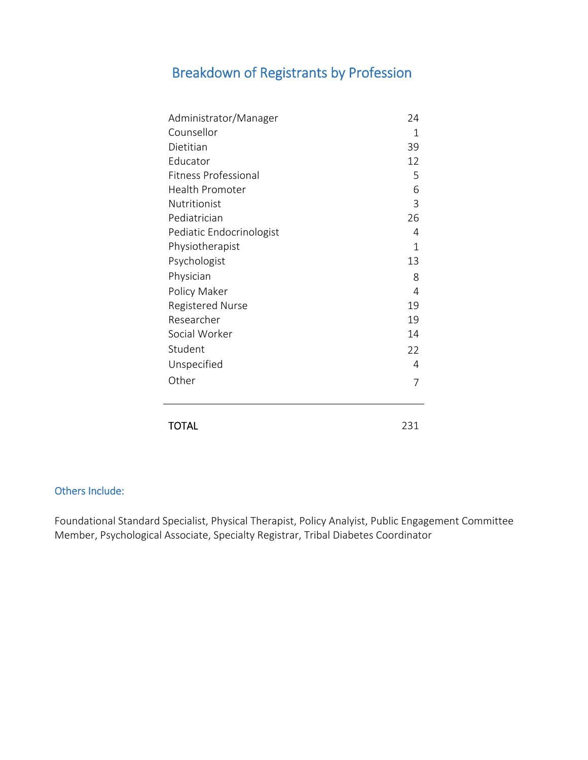# Breakdown of Registrants by Profession

| Administrator/Manager       | 24             |
|-----------------------------|----------------|
| Counsellor                  | 1              |
| Dietitian                   | 39             |
| Educator                    | 12             |
| <b>Fitness Professional</b> | 5              |
| <b>Health Promoter</b>      | 6              |
| Nutritionist                | 3              |
| Pediatrician                | 26             |
| Pediatic Endocrinologist    | 4              |
| Physiotherapist             | 1              |
| Psychologist                | 13             |
| Physician                   | 8              |
| Policy Maker                | $\overline{4}$ |
| <b>Registered Nurse</b>     | 19             |
| Researcher                  | 19             |
| Social Worker               | 14             |
| Student                     | 22             |
| Unspecified                 | 4              |
| Other                       | 7              |
|                             |                |
| TOTAL                       | 231            |

#### Others Include:

Foundational Standard Specialist, Physical Therapist, Policy Analyist, Public Engagement Committee Member, Psychological Associate, Specialty Registrar, Tribal Diabetes Coordinator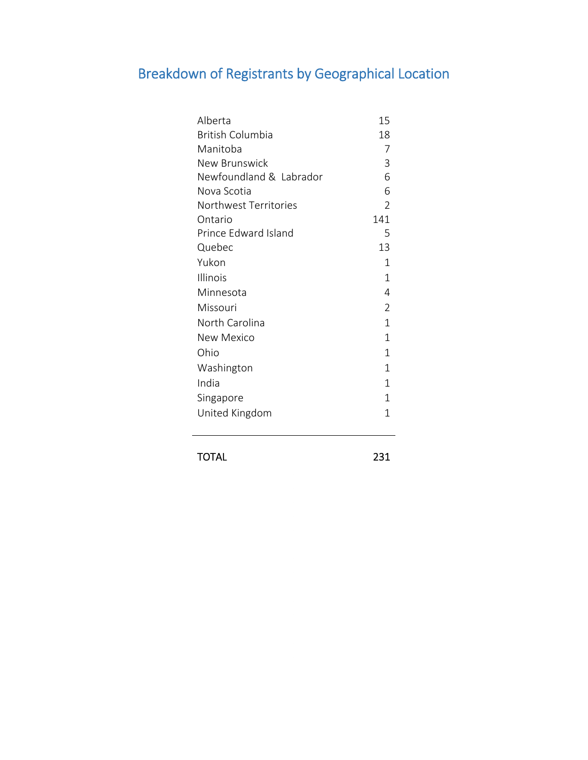# Breakdown of Registrants by Geographical Location

| Alberta                 | 15             |
|-------------------------|----------------|
| British Columbia        | 18             |
| Manitoba                | 7              |
| New Brunswick           | 3              |
| Newfoundland & Labrador | 6              |
| Nova Scotia             | 6              |
| Northwest Territories   | $\overline{2}$ |
| Ontario                 | 141            |
| Prince Edward Island    | 5              |
| Quebec                  | 13             |
| Yukon                   | 1              |
| Illinois                | 1              |
| Minnesota               | 4              |
| Missouri                | $\overline{2}$ |
| North Carolina          | $\mathbf{1}$   |
| New Mexico              | $\mathbf{1}$   |
| Ohio                    | $\mathbf 1$    |
| Washington              | 1              |
| India                   | $\mathbf{1}$   |
| Singapore               | 1              |
| United Kingdom          | 1              |

TOTAL 231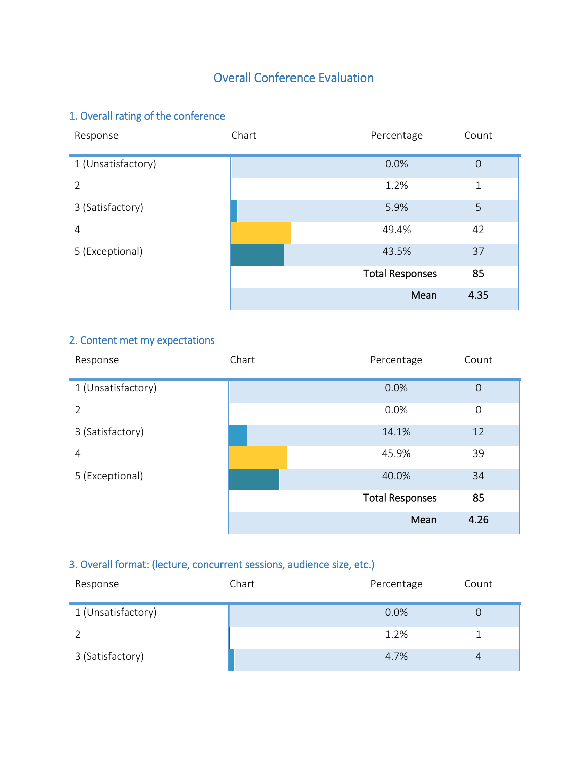# Overall Conference Evaluation

# 1. Overall rating of the conference

| Response           | Chart | Percentage             | Count          |
|--------------------|-------|------------------------|----------------|
| 1 (Unsatisfactory) |       | 0.0%                   | $\overline{0}$ |
| 2                  |       | 1.2%                   | 1              |
| 3 (Satisfactory)   |       | 5.9%                   | 5              |
| 4                  |       | 49.4%                  | 42             |
| 5 (Exceptional)    |       | 43.5%                  | 37             |
|                    |       | <b>Total Responses</b> | 85             |
|                    |       | Mean                   | 4.35           |

### 2. Content met my expectations

| Response           | Chart | Percentage             | Count          |
|--------------------|-------|------------------------|----------------|
| 1 (Unsatisfactory) |       | 0.0%                   | $\overline{0}$ |
| $\overline{2}$     |       | 0.0%                   | $\mathbf 0$    |
| 3 (Satisfactory)   |       | 14.1%                  | 12             |
| 4                  |       | 45.9%                  | 39             |
| 5 (Exceptional)    |       | 40.0%                  | 34             |
|                    |       | <b>Total Responses</b> | 85             |
|                    |       | Mean                   | 4.26           |

#### 3. Overall format: (lecture, concurrent sessions, audience size, etc.)

| Response           | Chart | Percentage | Count |
|--------------------|-------|------------|-------|
| 1 (Unsatisfactory) |       | 0.0%       | Ő     |
|                    |       | 1.2%       |       |
| 3 (Satisfactory)   |       | 4.7%       | 4     |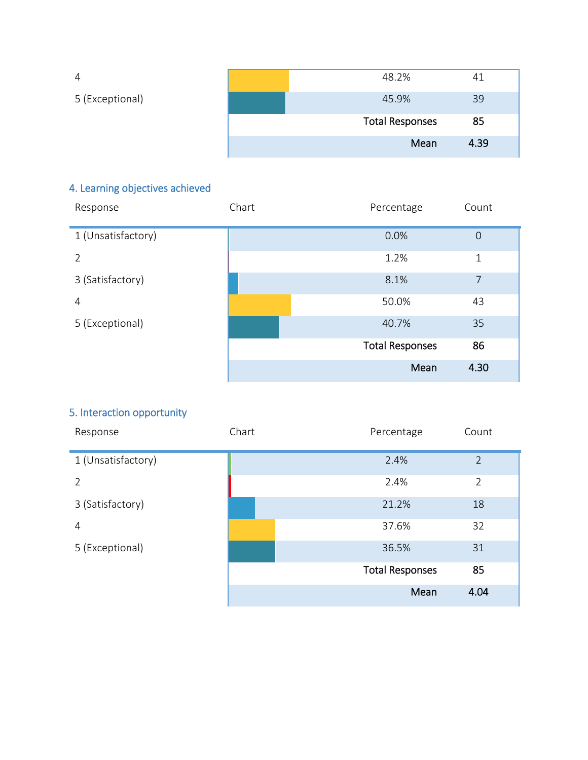| 4               | 48.2%                  | 4    |
|-----------------|------------------------|------|
| 5 (Exceptional) | 45.9%                  | 39   |
|                 | <b>Total Responses</b> | 85   |
|                 | Mean                   | 4.39 |

# 4. Learning objectives achieved

| Response           | Chart | Percentage             | Count          |
|--------------------|-------|------------------------|----------------|
| 1 (Unsatisfactory) |       | 0.0%                   | $\overline{0}$ |
| 2                  |       | 1.2%                   | 1              |
| 3 (Satisfactory)   |       | 8.1%                   | $\overline{7}$ |
| 4                  |       | 50.0%                  | 43             |
| 5 (Exceptional)    |       | 40.7%                  | 35             |
|                    |       | <b>Total Responses</b> | 86             |
|                    |       | Mean                   | 4.30           |

#### 5. Interaction opportunity

| Response           | Chart | Percentage             | Count          |
|--------------------|-------|------------------------|----------------|
| 1 (Unsatisfactory) |       | 2.4%                   | $\overline{2}$ |
| $\mathcal{P}$      |       | 2.4%                   | $\overline{2}$ |
| 3 (Satisfactory)   |       | 21.2%                  | 18             |
| 4                  |       | 37.6%                  | 32             |
| 5 (Exceptional)    |       | 36.5%                  | 31             |
|                    |       | <b>Total Responses</b> | 85             |
|                    |       | Mean                   | 4.04           |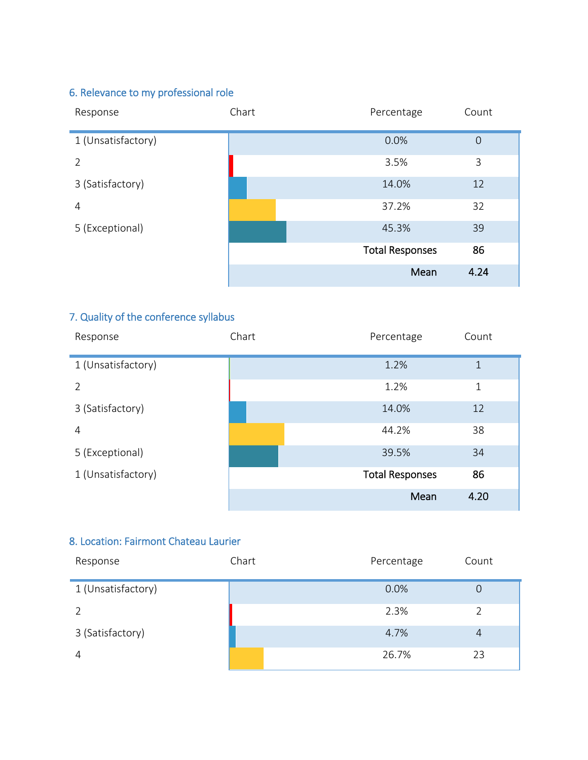# 6. Relevance to my professional role

| Response           | Chart | Percentage             | Count          |
|--------------------|-------|------------------------|----------------|
| 1 (Unsatisfactory) |       | 0.0%                   | $\overline{0}$ |
| 2                  |       | 3.5%                   | 3              |
| 3 (Satisfactory)   |       | 14.0%                  | 12             |
| $\overline{4}$     |       | 37.2%                  | 32             |
| 5 (Exceptional)    |       | 45.3%                  | 39             |
|                    |       | <b>Total Responses</b> | 86             |
|                    |       | Mean                   | 4.24           |

#### 7. Quality of the conference syllabus

| Response           | Chart | Percentage             | Count        |
|--------------------|-------|------------------------|--------------|
| 1 (Unsatisfactory) |       | 1.2%                   | $\mathbf{1}$ |
| 2                  |       | 1.2%                   | 1            |
| 3 (Satisfactory)   |       | 14.0%                  | 12           |
| 4                  |       | 44.2%                  | 38           |
| 5 (Exceptional)    |       | 39.5%                  | 34           |
| 1 (Unsatisfactory) |       | <b>Total Responses</b> | 86           |
|                    |       | Mean                   | 4.20         |

#### 8. Location: Fairmont Chateau Laurier

| Response           | Chart | Percentage | Count          |
|--------------------|-------|------------|----------------|
| 1 (Unsatisfactory) |       | 0.0%       | 0              |
|                    |       | 2.3%       |                |
| 3 (Satisfactory)   |       | 4.7%       | $\overline{4}$ |
| 4                  |       | 26.7%      | 23             |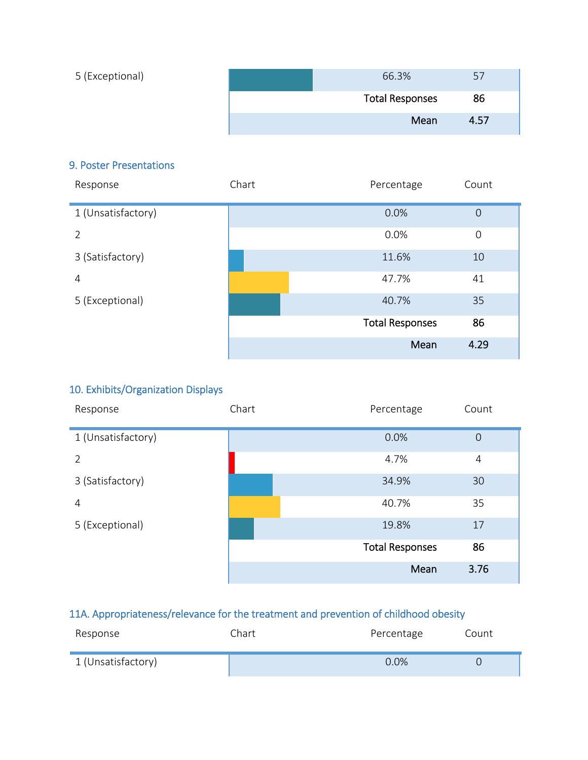| 5 (Exceptional) | 66.3%                  | 57   |
|-----------------|------------------------|------|
|                 | <b>Total Responses</b> | 86   |
|                 | Mean                   | 4.57 |

#### 9. Poster Presentations

| Response           | Chart | Percentage             | Count          |
|--------------------|-------|------------------------|----------------|
| 1 (Unsatisfactory) |       | 0.0%                   | $\overline{0}$ |
| 2                  |       | 0.0%                   | $\mathbf 0$    |
| 3 (Satisfactory)   |       | 11.6%                  | 10             |
| $\overline{4}$     |       | 47.7%                  | 41             |
| 5 (Exceptional)    |       | 40.7%                  | 35             |
|                    |       | <b>Total Responses</b> | 86             |
|                    |       | Mean                   | 4.29           |

#### 10. Exhibits/Organization Displays

| Response           | Chart | Percentage             | Count          |
|--------------------|-------|------------------------|----------------|
| 1 (Unsatisfactory) |       | 0.0%                   | $\overline{0}$ |
| $\overline{2}$     |       | 4.7%                   | 4              |
| 3 (Satisfactory)   |       | 34.9%                  | 30             |
| 4                  |       | 40.7%                  | 35             |
| 5 (Exceptional)    |       | 19.8%                  | 17             |
|                    |       | <b>Total Responses</b> | 86             |
|                    |       | Mean                   | 3.76           |

#### 11A. Appropriateness/relevance for the treatment and prevention of childhood obesity

| Response           | Chart. | Percentage | Count |
|--------------------|--------|------------|-------|
| 1 (Unsatisfactory) |        | 0.0%       |       |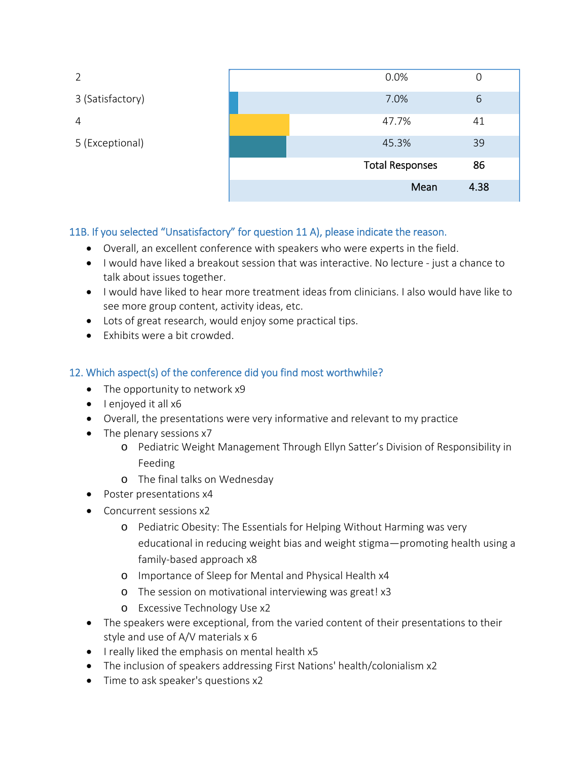| 2                | 0.0%                   | 0    |
|------------------|------------------------|------|
| 3 (Satisfactory) | 7.0%                   | 6    |
| 4                | 47.7%                  | 41   |
| 5 (Exceptional)  | 45.3%                  | 39   |
|                  | <b>Total Responses</b> | 86   |
|                  | Mean                   | 4.38 |

#### 11B. If you selected "Unsatisfactory" for question 11 A), please indicate the reason.

- Overall, an excellent conference with speakers who were experts in the field.
- I would have liked a breakout session that was interactive. No lecture just a chance to talk about issues together.
- I would have liked to hear more treatment ideas from clinicians. I also would have like to see more group content, activity ideas, etc.
- Lots of great research, would enjoy some practical tips.
- $\bullet$  Fxhibits were a bit crowded.

#### 12. Which aspect(s) of the conference did you find most worthwhile?

- The opportunity to network x9
- $\bullet$  lenjoyed it all  $x6$
- Overall, the presentations were very informative and relevant to my practice
- The plenary sessions x7
	- o Pediatric Weight Management Through Ellyn Satter's Division of Responsibility in Feeding
	- o The final talks on Wednesday
- Poster presentations x4
- Concurrent sessions x2
	- o Pediatric Obesity: The Essentials for Helping Without Harming was very educational in reducing weight bias and weight stigma—promoting health using a family-based approach x8
	- o Importance of Sleep for Mental and Physical Health x4
	- o The session on motivational interviewing was great! x3
	- o Excessive Technology Use x2
- The speakers were exceptional, from the varied content of their presentations to their style and use of A/V materials x 6
- I really liked the emphasis on mental health x5
- The inclusion of speakers addressing First Nations' health/colonialism x2
- Time to ask speaker's questions x2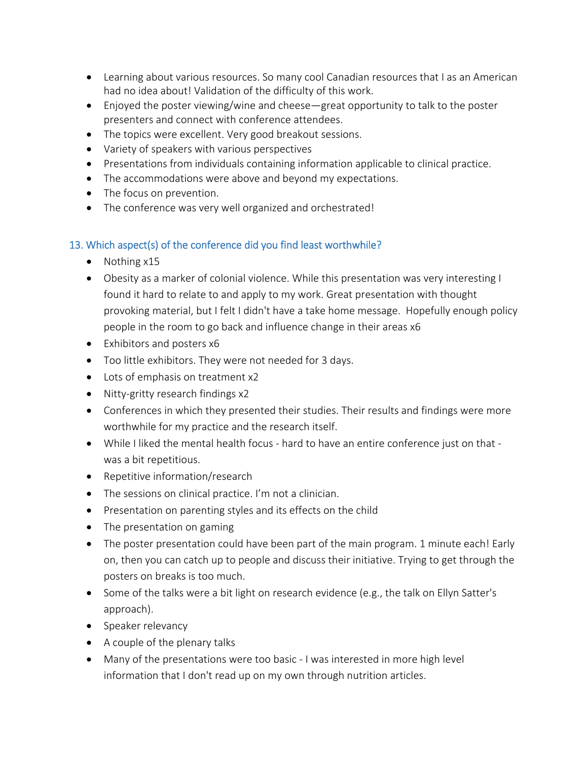- Learning about various resources. So many cool Canadian resources that I as an American had no idea about! Validation of the difficulty of this work.
- Enjoyed the poster viewing/wine and cheese—great opportunity to talk to the poster presenters and connect with conference attendees.
- The topics were excellent. Very good breakout sessions.
- Variety of speakers with various perspectives
- Presentations from individuals containing information applicable to clinical practice.
- The accommodations were above and beyond my expectations.
- The focus on prevention.
- The conference was very well organized and orchestrated!

#### 13. Which aspect(s) of the conference did you find least worthwhile?

- $\bullet$  Nothing  $x15$
- Obesity as a marker of colonial violence. While this presentation was very interesting I found it hard to relate to and apply to my work. Great presentation with thought provoking material, but I felt I didn't have a take home message. Hopefully enough policy people in the room to go back and influence change in their areas x6
- Exhibitors and posters x6
- Too little exhibitors. They were not needed for 3 days.
- Lots of emphasis on treatment x2
- Nitty-gritty research findings x2
- Conferences in which they presented their studies. Their results and findings were more worthwhile for my practice and the research itself.
- While I liked the mental health focus hard to have an entire conference just on that was a bit repetitious.
- Repetitive information/research
- The sessions on clinical practice. I'm not a clinician.
- Presentation on parenting styles and its effects on the child
- The presentation on gaming
- The poster presentation could have been part of the main program. 1 minute each! Early on, then you can catch up to people and discuss their initiative. Trying to get through the posters on breaks is too much.
- Some of the talks were a bit light on research evidence (e.g., the talk on Ellyn Satter's approach).
- Speaker relevancy
- A couple of the plenary talks
- Many of the presentations were too basic I was interested in more high level information that I don't read up on my own through nutrition articles.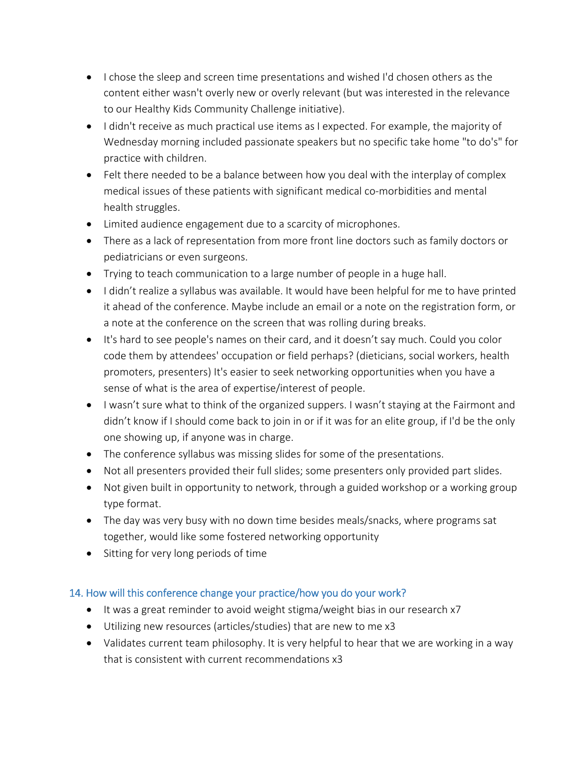- I chose the sleep and screen time presentations and wished I'd chosen others as the content either wasn't overly new or overly relevant (but was interested in the relevance to our Healthy Kids Community Challenge initiative).
- I didn't receive as much practical use items as I expected. For example, the majority of Wednesday morning included passionate speakers but no specific take home "to do's" for practice with children.
- Felt there needed to be a balance between how you deal with the interplay of complex medical issues of these patients with significant medical co-morbidities and mental health struggles.
- Limited audience engagement due to a scarcity of microphones.
- There as a lack of representation from more front line doctors such as family doctors or pediatricians or even surgeons.
- Trying to teach communication to a large number of people in a huge hall.
- I didn't realize a syllabus was available. It would have been helpful for me to have printed it ahead of the conference. Maybe include an email or a note on the registration form, or a note at the conference on the screen that was rolling during breaks.
- It's hard to see people's names on their card, and it doesn't say much. Could you color code them by attendees' occupation or field perhaps? (dieticians, social workers, health promoters, presenters) It's easier to seek networking opportunities when you have a sense of what is the area of expertise/interest of people.
- I wasn't sure what to think of the organized suppers. I wasn't staying at the Fairmont and didn't know if I should come back to join in or if it was for an elite group, if I'd be the only one showing up, if anyone was in charge.
- The conference syllabus was missing slides for some of the presentations.
- Not all presenters provided their full slides; some presenters only provided part slides.
- Not given built in opportunity to network, through a guided workshop or a working group type format.
- The day was very busy with no down time besides meals/snacks, where programs sat together, would like some fostered networking opportunity
- Sitting for very long periods of time

#### 14. How will this conference change your practice/how you do your work?

- It was a great reminder to avoid weight stigma/weight bias in our research x7
- Utilizing new resources (articles/studies) that are new to me x3
- Validates current team philosophy. It is very helpful to hear that we are working in a way that is consistent with current recommendations x3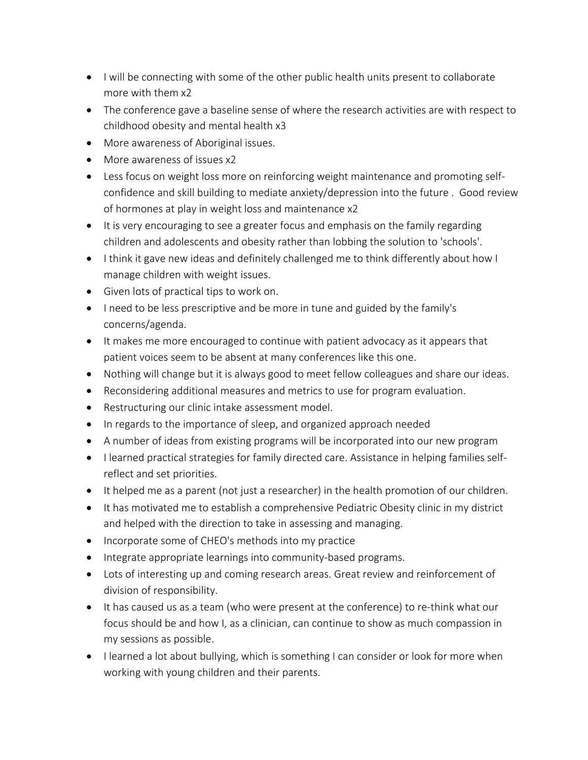- I will be connecting with some of the other public health units present to collaborate more with them x2
- The conference gave a baseline sense of where the research activities are with respect to childhood obesity and mental health x3
- More awareness of Aboriginal issues.
- More awareness of issues x2
- Less focus on weight loss more on reinforcing weight maintenance and promoting selfconfidence and skill building to mediate anxiety/depression into the future . Good review of hormones at play in weight loss and maintenance x2
- It is very encouraging to see a greater focus and emphasis on the family regarding children and adolescents and obesity rather than lobbing the solution to 'schools'.
- I think it gave new ideas and definitely challenged me to think differently about how I manage children with weight issues.
- Given lots of practical tips to work on.
- I need to be less prescriptive and be more in tune and guided by the family's concerns/agenda.
- It makes me more encouraged to continue with patient advocacy as it appears that patient voices seem to be absent at many conferences like this one.
- Nothing will change but it is always good to meet fellow colleagues and share our ideas.
- Reconsidering additional measures and metrics to use for program evaluation.
- Restructuring our clinic intake assessment model.
- In regards to the importance of sleep, and organized approach needed
- A number of ideas from existing programs will be incorporated into our new program
- I learned practical strategies for family directed care. Assistance in helping families selfreflect and set priorities.
- It helped me as a parent (not just a researcher) in the health promotion of our children.
- It has motivated me to establish a comprehensive Pediatric Obesity clinic in my district and helped with the direction to take in assessing and managing.
- Incorporate some of CHEO's methods into my practice
- Integrate appropriate learnings into community-based programs.
- Lots of interesting up and coming research areas. Great review and reinforcement of division of responsibility.
- It has caused us as a team (who were present at the conference) to re-think what our focus should be and how I, as a clinician, can continue to show as much compassion in my sessions as possible.
- I learned a lot about bullying, which is something I can consider or look for more when working with young children and their parents.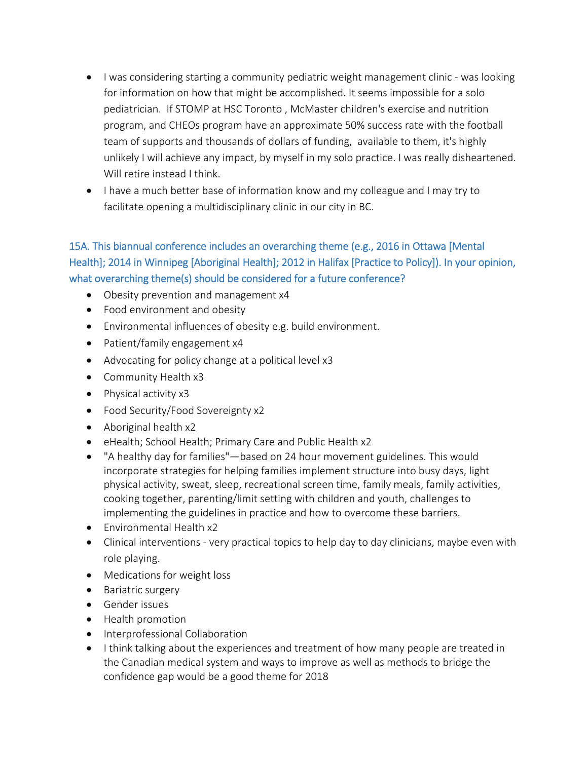- I was considering starting a community pediatric weight management clinic was looking for information on how that might be accomplished. It seems impossible for a solo pediatrician. If STOMP at HSC Toronto , McMaster children's exercise and nutrition program, and CHEOs program have an approximate 50% success rate with the football team of supports and thousands of dollars of funding, available to them, it's highly unlikely I will achieve any impact, by myself in my solo practice. I was really disheartened. Will retire instead I think.
- I have a much better base of information know and my colleague and I may try to facilitate opening a multidisciplinary clinic in our city in BC.

#### 15A. This biannual conference includes an overarching theme (e.g., 2016 in Ottawa [Mental Health]; 2014 in Winnipeg [Aboriginal Health]; 2012 in Halifax [Practice to Policy]). In your opinion, what overarching theme(s) should be considered for a future conference?

- Obesity prevention and management x4
- Food environment and obesity
- Environmental influences of obesity e.g. build environment.
- Patient/family engagement x4
- Advocating for policy change at a political level x3
- Community Health x3
- Physical activity x3
- Food Security/Food Sovereignty x2
- Aboriginal health x2
- eHealth; School Health; Primary Care and Public Health x2
- "A healthy day for families"—based on 24 hour movement guidelines. This would incorporate strategies for helping families implement structure into busy days, light physical activity, sweat, sleep, recreational screen time, family meals, family activities, cooking together, parenting/limit setting with children and youth, challenges to implementing the guidelines in practice and how to overcome these barriers.
- Environmental Health x2
- Clinical interventions very practical topics to help day to day clinicians, maybe even with role playing.
- Medications for weight loss
- Bariatric surgery
- **Gender issues**
- Health promotion
- Interprofessional Collaboration
- I think talking about the experiences and treatment of how many people are treated in the Canadian medical system and ways to improve as well as methods to bridge the confidence gap would be a good theme for 2018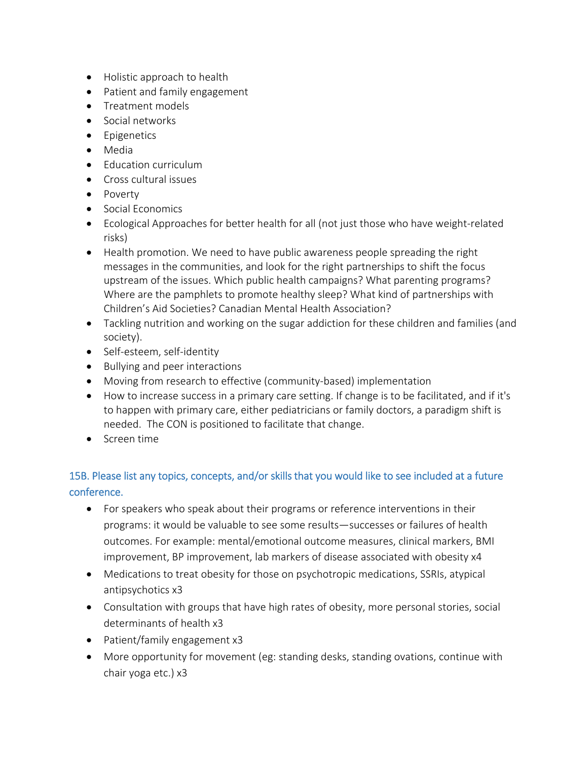- Holistic approach to health
- Patient and family engagement
- Treatment models
- Social networks
- **•** Epigenetics
- Media
- Education curriculum
- Cross cultural issues
- Poverty
- Social Economics
- Ecological Approaches for better health for all (not just those who have weight-related risks)
- Health promotion. We need to have public awareness people spreading the right messages in the communities, and look for the right partnerships to shift the focus upstream of the issues. Which public health campaigns? What parenting programs? Where are the pamphlets to promote healthy sleep? What kind of partnerships with Children's Aid Societies? Canadian Mental Health Association?
- Tackling nutrition and working on the sugar addiction for these children and families (and society).
- Self-esteem, self-identity
- Bullying and peer interactions
- Moving from research to effective (community-based) implementation
- How to increase success in a primary care setting. If change is to be facilitated, and if it's to happen with primary care, either pediatricians or family doctors, a paradigm shift is needed. The CON is positioned to facilitate that change.
- Screen time

#### 15B. Please list any topics, concepts, and/or skills that you would like to see included at a future conference.

- For speakers who speak about their programs or reference interventions in their programs: it would be valuable to see some results—successes or failures of health outcomes. For example: mental/emotional outcome measures, clinical markers, BMI improvement, BP improvement, lab markers of disease associated with obesity x4
- Medications to treat obesity for those on psychotropic medications, SSRIs, atypical antipsychotics x3
- Consultation with groups that have high rates of obesity, more personal stories, social determinants of health x3
- Patient/family engagement x3
- More opportunity for movement (eg: standing desks, standing ovations, continue with chair yoga etc.) x3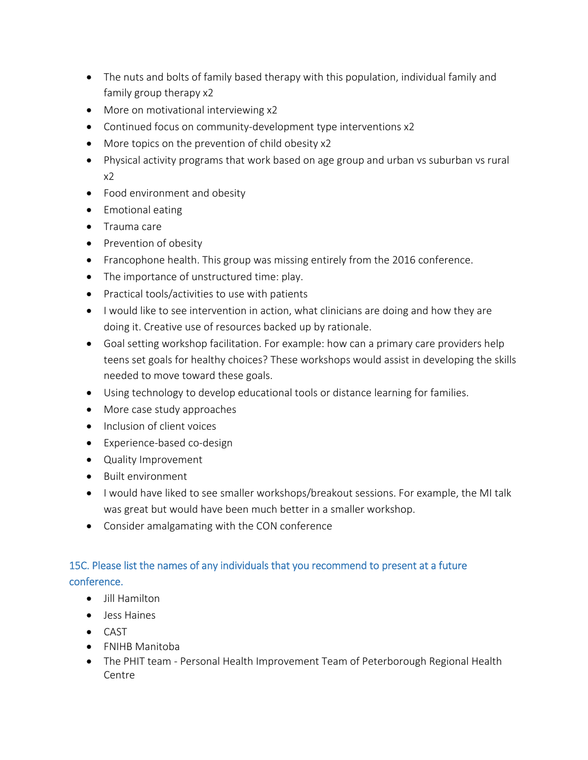- The nuts and bolts of family based therapy with this population, individual family and family group therapy x2
- More on motivational interviewing x2
- Continued focus on community-development type interventions x2
- More topics on the prevention of child obesity x2
- Physical activity programs that work based on age group and urban vs suburban vs rural  $x<sub>2</sub>$
- Food environment and obesity
- Emotional eating
- Trauma care
- Prevention of obesity
- Francophone health. This group was missing entirely from the 2016 conference.
- The importance of unstructured time: play.
- Practical tools/activities to use with patients
- I would like to see intervention in action, what clinicians are doing and how they are doing it. Creative use of resources backed up by rationale.
- Goal setting workshop facilitation. For example: how can a primary care providers help teens set goals for healthy choices? These workshops would assist in developing the skills needed to move toward these goals.
- Using technology to develop educational tools or distance learning for families.
- More case study approaches
- Inclusion of client voices
- Experience-based co-design
- Quality Improvement
- Built environment
- I would have liked to see smaller workshops/breakout sessions. For example, the MI talk was great but would have been much better in a smaller workshop.
- Consider amalgamating with the CON conference

#### 15C. Please list the names of any individuals that you recommend to present at a future conference.

- Jill Hamilton
- Jess Haines
- CAST
- FNIHB Manitoba
- The PHIT team Personal Health Improvement Team of Peterborough Regional Health Centre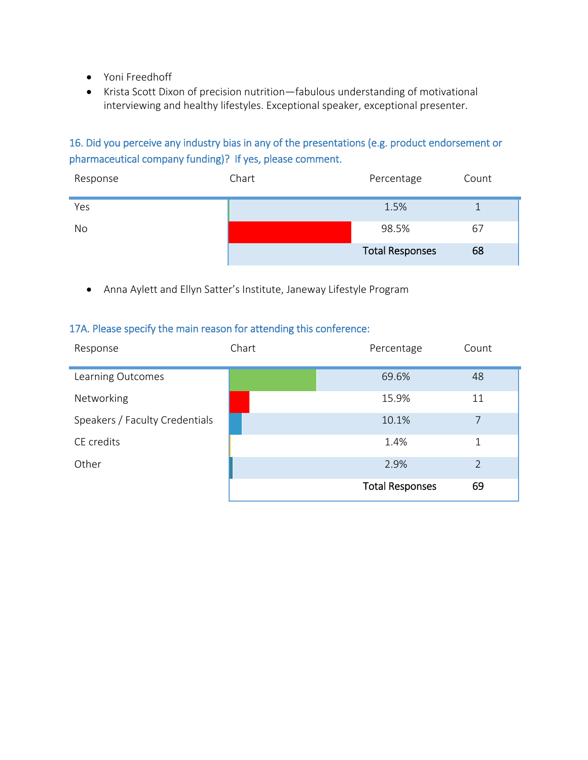- Yoni Freedhoff
- Krista Scott Dixon of precision nutrition—fabulous understanding of motivational interviewing and healthy lifestyles. Exceptional speaker, exceptional presenter.

#### 16. Did you perceive any industry bias in any of the presentations (e.g. product endorsement or pharmaceutical company funding)? If yes, please comment.

| Response | Chart | Percentage             | Count |
|----------|-------|------------------------|-------|
| Yes      |       | 1.5%                   |       |
| No       |       | 98.5%                  | 67    |
|          |       | <b>Total Responses</b> | 68    |

Anna Aylett and Ellyn Satter's Institute, Janeway Lifestyle Program

#### 17A. Please specify the main reason for attending this conference:

| Response                       | Chart | Percentage             | Count         |
|--------------------------------|-------|------------------------|---------------|
| Learning Outcomes              |       | 69.6%                  | 48            |
| Networking                     |       | 15.9%                  | 11            |
| Speakers / Faculty Credentials |       | 10.1%                  | 7             |
| CE credits                     |       | 1.4%                   | 1             |
| Other                          |       | 2.9%                   | $\mathcal{P}$ |
|                                |       | <b>Total Responses</b> | 69            |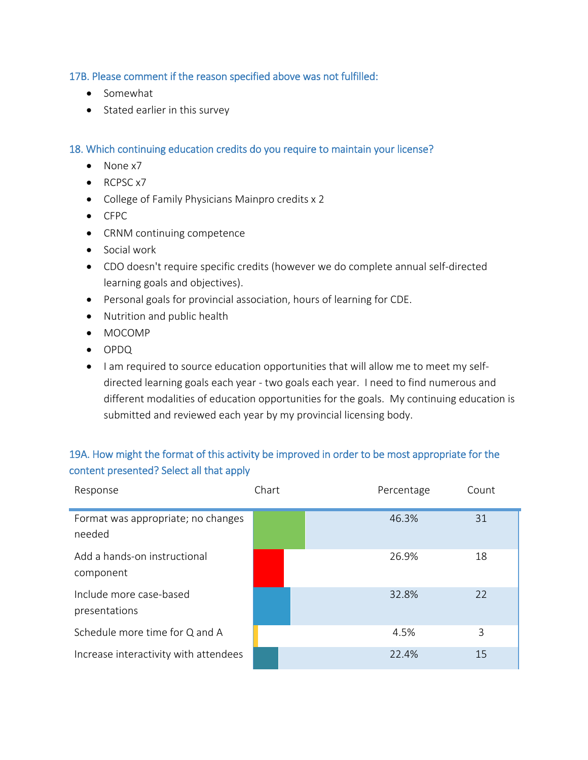17B. Please comment if the reason specified above was not fulfilled:

- Somewhat
- Stated earlier in this survey

18. Which continuing education credits do you require to maintain your license?

- None x7
- $\bullet$  RCPSC  $\times$ 7
- College of Family Physicians Mainpro credits x 2
- CFPC
- CRNM continuing competence
- Social work
- CDO doesn't require specific credits (however we do complete annual self-directed learning goals and objectives).
- Personal goals for provincial association, hours of learning for CDE.
- Nutrition and public health
- MOCOMP
- OPDQ
- I am required to source education opportunities that will allow me to meet my selfdirected learning goals each year - two goals each year. I need to find numerous and different modalities of education opportunities for the goals. My continuing education is submitted and reviewed each year by my provincial licensing body.

#### 19A. How might the format of this activity be improved in order to be most appropriate for the content presented? Select all that apply

| Response                                     | Chart | Percentage | Count |
|----------------------------------------------|-------|------------|-------|
| Format was appropriate; no changes<br>needed |       | 46.3%      | 31    |
| Add a hands-on instructional<br>component    |       | 26.9%      | 18    |
| Include more case-based<br>presentations     |       | 32.8%      | 22    |
| Schedule more time for Q and A               |       | 4.5%       | 3     |
| Increase interactivity with attendees        |       | 22.4%      | 15    |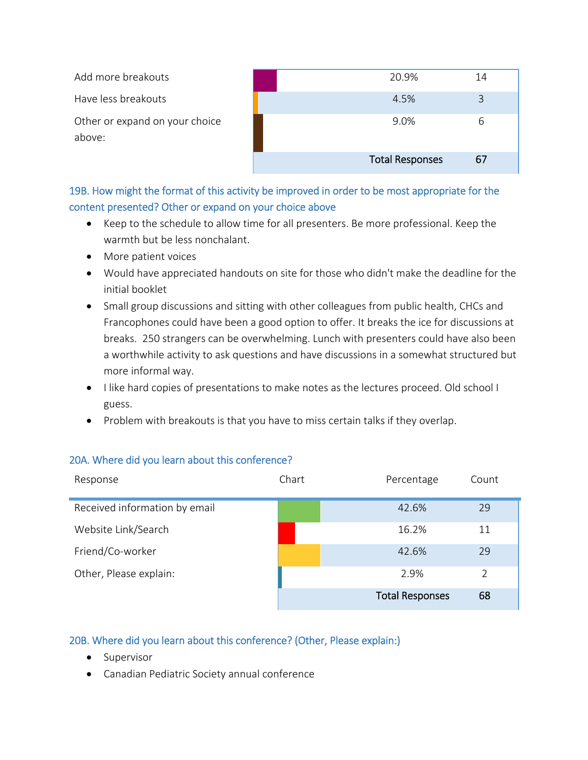| Add more breakouts                       | 20.9%                  | 14 |
|------------------------------------------|------------------------|----|
| Have less breakouts                      | 4.5%                   |    |
| Other or expand on your choice<br>above: | 9.0%                   | h  |
|                                          | <b>Total Responses</b> | 67 |

19B. How might the format of this activity be improved in order to be most appropriate for the content presented? Other or expand on your choice above

- Keep to the schedule to allow time for all presenters. Be more professional. Keep the warmth but be less nonchalant.
- More patient voices
- Would have appreciated handouts on site for those who didn't make the deadline for the initial booklet
- Small group discussions and sitting with other colleagues from public health, CHCs and Francophones could have been a good option to offer. It breaks the ice for discussions at breaks. 250 strangers can be overwhelming. Lunch with presenters could have also been a worthwhile activity to ask questions and have discussions in a somewhat structured but more informal way.
- I like hard copies of presentations to make notes as the lectures proceed. Old school I guess.
- Problem with breakouts is that you have to miss certain talks if they overlap.

| Response                      | Chart | Percentage             | Count |
|-------------------------------|-------|------------------------|-------|
| Received information by email |       | 42.6%                  | 29    |
| Website Link/Search           |       | 16.2%                  | 11    |
| Friend/Co-worker              |       | 42.6%                  | 29    |
| Other, Please explain:        |       | 2.9%                   | 2     |
|                               |       | <b>Total Responses</b> | 68    |

#### 20A. Where did you learn about this conference?

#### 20B. Where did you learn about this conference? (Other, Please explain:)

- Supervisor
- Canadian Pediatric Society annual conference